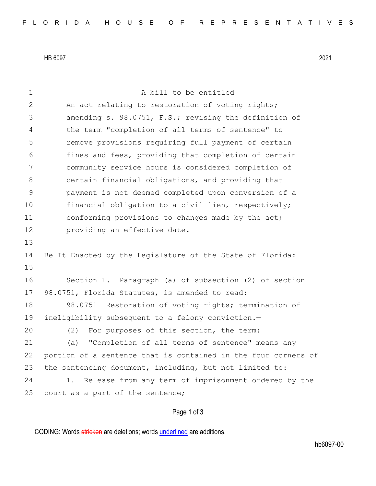HB 6097 2021

| $\mathbf 1$   | A bill to be entitled                                          |
|---------------|----------------------------------------------------------------|
| $\mathbf{2}$  | An act relating to restoration of voting rights;               |
| 3             | amending s. 98.0751, F.S.; revising the definition of          |
| 4             | the term "completion of all terms of sentence" to              |
| 5             | remove provisions requiring full payment of certain            |
| 6             | fines and fees, providing that completion of certain           |
| 7             | community service hours is considered completion of            |
| 8             | certain financial obligations, and providing that              |
| $\mathcal{G}$ | payment is not deemed completed upon conversion of a           |
| 10            | financial obligation to a civil lien, respectively;            |
| 11            | conforming provisions to changes made by the act;              |
| 12            | providing an effective date.                                   |
| 13            |                                                                |
| 14            | Be It Enacted by the Legislature of the State of Florida:      |
| 15            |                                                                |
| 16            | Section 1. Paragraph (a) of subsection (2) of section          |
| 17            | 98.0751, Florida Statutes, is amended to read:                 |
| 18            | Restoration of voting rights; termination of<br>98.0751        |
| 19            | ineligibility subsequent to a felony conviction.-              |
| 20            | For purposes of this section, the term:<br>(2)                 |
| 21            | "Completion of all terms of sentence" means any<br>(a)         |
| 22            | portion of a sentence that is contained in the four corners of |
| 23            | the sentencing document, including, but not limited to:        |
| 24            | Release from any term of imprisonment ordered by the<br>1.     |
| 25            | court as a part of the sentence;                               |
|               | Page 1 of 3                                                    |

CODING: Words stricken are deletions; words underlined are additions.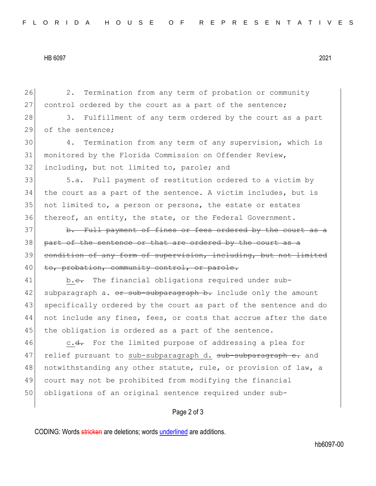## HB 6097 2021

26 2. Termination from any term of probation or community 27 control ordered by the court as a part of the sentence; 28 3. Fulfillment of any term ordered by the court as a part 29 of the sentence; 30 4. Termination from any term of any supervision, which is 31 monitored by the Florida Commission on Offender Review, 32 including, but not limited to, parole; and 33 5.a. Full payment of restitution ordered to a victim by 34 the court as a part of the sentence. A victim includes, but is 35 not limited to, a person or persons, the estate or estates 36 thereof, an entity, the state, or the Federal Government. 37 b. Full payment of fines or fees ordered by the court as a 38 part of the sentence or that are ordered by the court as a 39 condition of any form of supervision, including, but not limited 40 to, probation, community control, or parole. 41 b.<del>c.</del> The financial obligations required under sub-42 subparagraph a. <del>or sub-subparagraph b.</del> include only the amount 43 specifically ordered by the court as part of the sentence and do 44 not include any fines, fees, or costs that accrue after the date 45 the obligation is ordered as a part of the sentence. 46 c.<del>d.</del> For the limited purpose of addressing a plea for 47 relief pursuant to sub-subparagraph d. sub-subparagraph e. and 48 notwithstanding any other statute, rule, or provision of law, a 49 court may not be prohibited from modifying the financial 50 obligations of an original sentence required under sub-

## Page 2 of 3

CODING: Words stricken are deletions; words underlined are additions.